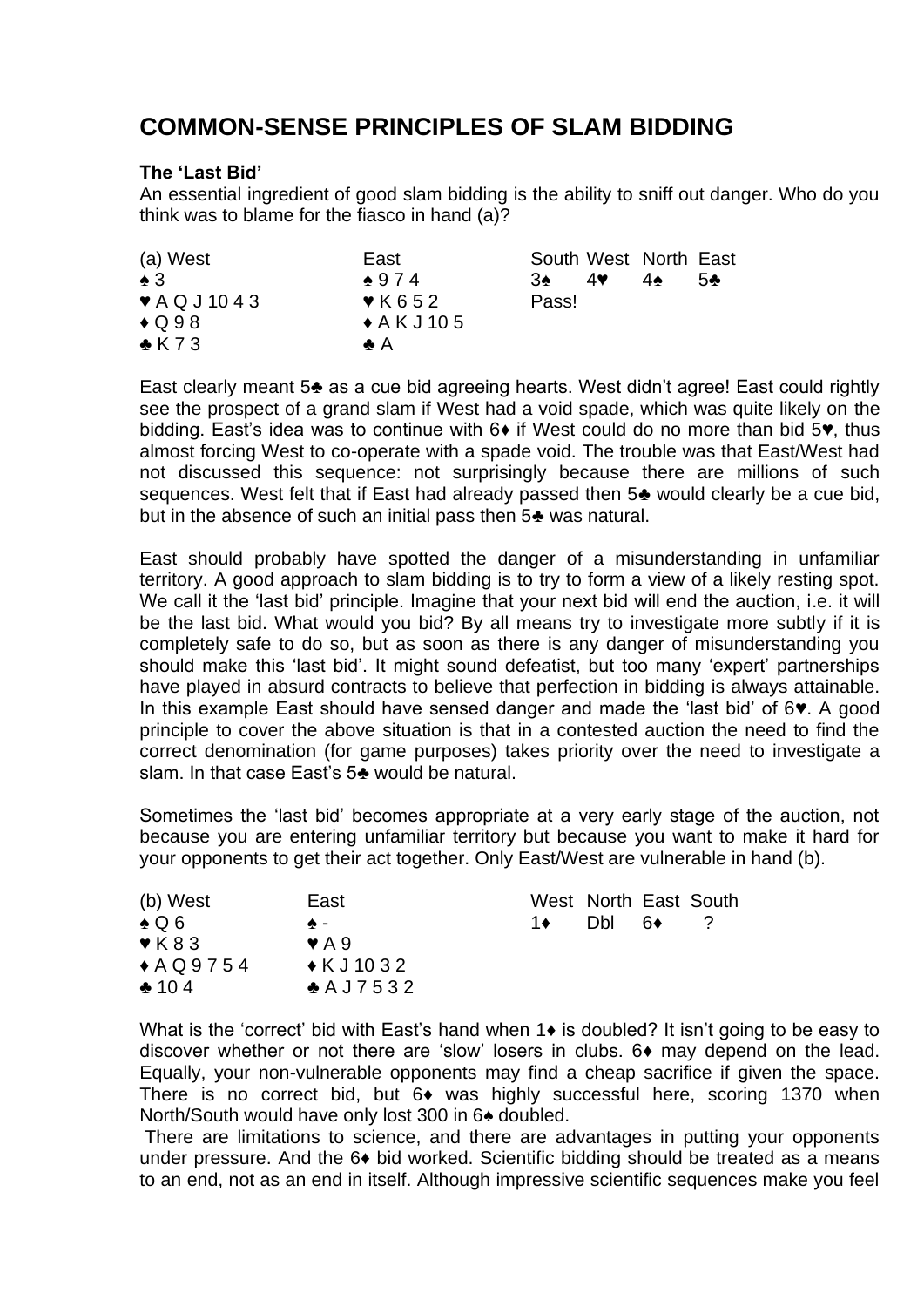# **COMMON-SENSE PRINCIPLES OF SLAM BIDDING**

## **The 'Last Bid'**

An essential ingredient of good slam bidding is the ability to sniff out danger. Who do you think was to blame for the fiasco in hand (a)?

| (a) West                       | East                      |       |    | South West North East |    |
|--------------------------------|---------------------------|-------|----|-----------------------|----|
| $\bullet$ 3                    | $*974$                    | 3♦    | 4♥ | $4\bullet$            | 54 |
| $\blacktriangledown$ AQ J 1043 | $\blacktriangledown$ K652 | Pass! |    |                       |    |
| $\bigstar$ Q98                 | $\triangle$ A K J 10 5    |       |    |                       |    |
| $\triangle$ K73                | А А                       |       |    |                       |    |

East clearly meant 5♣ as a cue bid agreeing hearts. West didn't agree! East could rightly see the prospect of a grand slam if West had a void spade, which was quite likely on the bidding. East's idea was to continue with 6♦ if West could do no more than bid 5♥, thus almost forcing West to co-operate with a spade void. The trouble was that East/West had not discussed this sequence: not surprisingly because there are millions of such sequences. West felt that if East had already passed then 5♣ would clearly be a cue bid, but in the absence of such an initial pass then 5♣ was natural.

East should probably have spotted the danger of a misunderstanding in unfamiliar territory. A good approach to slam bidding is to try to form a view of a likely resting spot. We call it the 'last bid' principle. Imagine that your next bid will end the auction, i.e. it will be the last bid. What would you bid? By all means try to investigate more subtly if it is completely safe to do so, but as soon as there is any danger of misunderstanding you should make this 'last bid'. It might sound defeatist, but too many 'expert' partnerships have played in absurd contracts to believe that perfection in bidding is always attainable. In this example East should have sensed danger and made the 'last bid' of 6♥. A good principle to cover the above situation is that in a contested auction the need to find the correct denomination (for game purposes) takes priority over the need to investigate a slam. In that case East's 5♣ would be natural.

Sometimes the 'last bid' becomes appropriate at a very early stage of the auction, not because you are entering unfamiliar territory but because you want to make it hard for your opponents to get their act together. Only East/West are vulnerable in hand (b).

| (b) West                   | East                      |      |      |     | West North East South |
|----------------------------|---------------------------|------|------|-----|-----------------------|
| $\clubsuit$ Q 6            | ക –                       | 1♦ ⊺ | Dbl. | .6♦ |                       |
| $\blacktriangledown$ K 8 3 | $\blacktriangleright$ A 9 |      |      |     |                       |
| $*AQ9754$                  | $\triangle$ KJ 1032       |      |      |     |                       |
| $*104$                     | $A$ A J 7 5 3 2           |      |      |     |                       |

What is the 'correct' bid with East's hand when 1♦ is doubled? It isn't going to be easy to discover whether or not there are 'slow' losers in clubs. 6♦ may depend on the lead. Equally, your non-vulnerable opponents may find a cheap sacrifice if given the space. There is no correct bid, but 6♦ was highly successful here, scoring 1370 when North/South would have only lost 300 in 6♠ doubled.

There are limitations to science, and there are advantages in putting your opponents under pressure. And the 6 $\bullet$  bid worked. Scientific bidding should be treated as a means to an end, not as an end in itself. Although impressive scientific sequences make you feel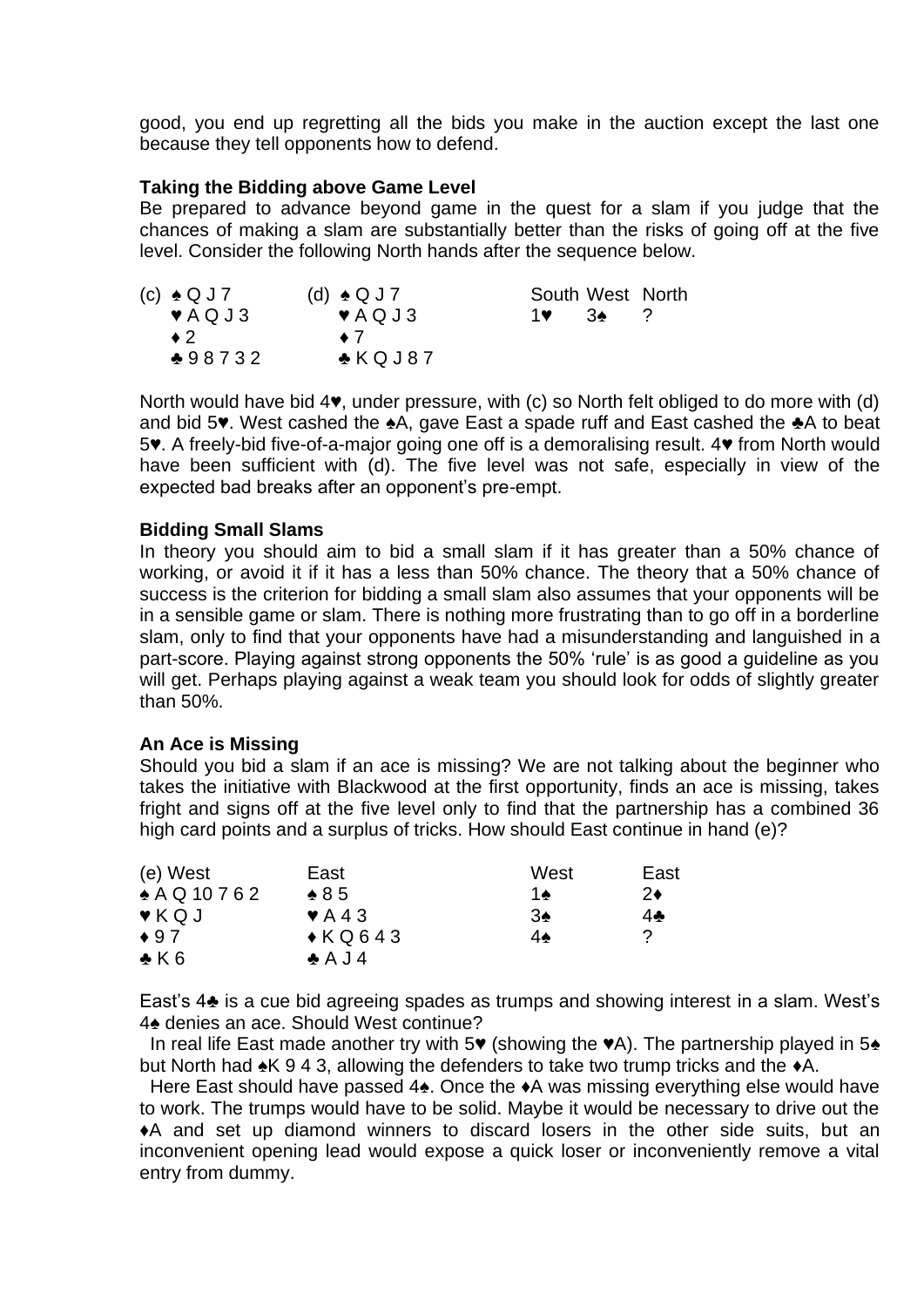good, you end up regretting all the bids you make in the auction except the last one because they tell opponents how to defend.

## **Taking the Bidding above Game Level**

Be prepared to advance beyond game in the quest for a slam if you judge that the chances of making a slam are substantially better than the risks of going off at the five level. Consider the following North hands after the sequence below.

| (c) $\triangle Q$ J 7       | $(d) \triangleleft Q J$ 7 | South West North |     |  |
|-----------------------------|---------------------------|------------------|-----|--|
| $\blacktriangledown$ AQ J 3 | $\blacktriangledown$ AQJ3 | 1♥ 1             | -3▲ |  |
| $\bullet$ 2                 | $\bullet$ 7               |                  |     |  |
| $*98732$                    | $\triangle$ KQJ87         |                  |     |  |

North would have bid 4♥, under pressure, with (c) so North felt obliged to do more with (d) and bid 5♥. West cashed the ♠A, gave East a spade ruff and East cashed the ♣A to beat 5♥. A freely-bid five-of-a-major going one off is a demoralising result. 4♥ from North would have been sufficient with (d). The five level was not safe, especially in view of the expected bad breaks after an opponent's pre-empt.

#### **Bidding Small Slams**

In theory you should aim to bid a small slam if it has greater than a 50% chance of working, or avoid it if it has a less than 50% chance. The theory that a 50% chance of success is the criterion for bidding a small slam also assumes that your opponents will be in a sensible game or slam. There is nothing more frustrating than to go off in a borderline slam, only to find that your opponents have had a misunderstanding and languished in a part-score. Playing against strong opponents the 50% 'rule' is as good a guideline as you will get. Perhaps playing against a weak team you should look for odds of slightly greater than 50%.

#### **An Ace is Missing**

Should you bid a slam if an ace is missing? We are not talking about the beginner who takes the initiative with Blackwood at the first opportunity, finds an ace is missing, takes fright and signs off at the five level only to find that the partnership has a combined 36 high card points and a surplus of tricks. How should East continue in hand (e)?

| (e) West                  | East                        | West | East         |
|---------------------------|-----------------------------|------|--------------|
| $*$ A Q 10 7 6 2          | $\triangle$ 85              | 1♠   | 2♦           |
| $\blacktriangledown$ KQ J | $\blacktriangleright$ A 4 3 | 3♠   | $4\clubsuit$ |
| $\bullet$ 97              | $\triangle K$ Q643          | 4♠   | 2            |
| $\bullet$ K 6             | $\triangle$ A J 4           |      |              |

East's 4♣ is a cue bid agreeing spades as trumps and showing interest in a slam. West's 4♠ denies an ace. Should West continue?

 In real life East made another try with 5♥ (showing the ♥A). The partnership played in 5♠ but North had ♠K 9 4 3, allowing the defenders to take two trump tricks and the ♦A.

 Here East should have passed 4♠. Once the ♦A was missing everything else would have to work. The trumps would have to be solid. Maybe it would be necessary to drive out the ♦A and set up diamond winners to discard losers in the other side suits, but an inconvenient opening lead would expose a quick loser or inconveniently remove a vital entry from dummy.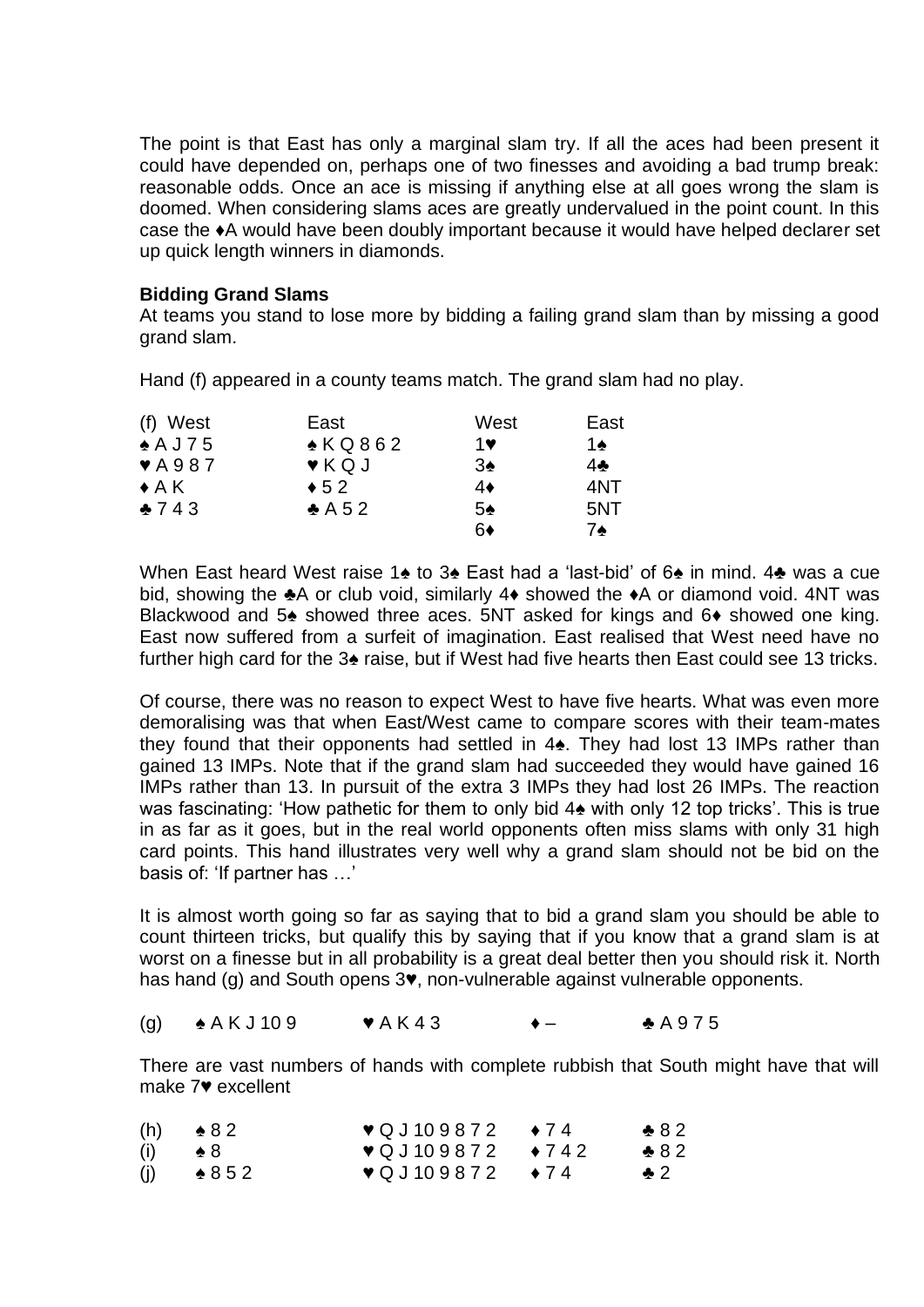The point is that East has only a marginal slam try. If all the aces had been present it could have depended on, perhaps one of two finesses and avoiding a bad trump break: reasonable odds. Once an ace is missing if anything else at all goes wrong the slam is doomed. When considering slams aces are greatly undervalued in the point count. In this case the ♦A would have been doubly important because it would have helped declarer set up quick length winners in diamonds.

## **Bidding Grand Slams**

At teams you stand to lose more by bidding a failing grand slam than by missing a good grand slam.

Hand (f) appeared in a county teams match. The grand slam had no play.

| (f) West                  | East              | West | East |
|---------------------------|-------------------|------|------|
| $*$ A J 75                | $\triangle$ KQ862 | 1♥   | 1♠   |
| $\blacktriangledown$ A987 | $V$ KQJ           | 3♠   | 4♣   |
| $\triangle$ A K           | $\div$ 52         | 4♦   | 4NT  |
| $*743$                    | $\triangle$ A 52  | 5♠   | 5NT  |
|                           |                   | 6♦   | 7♠   |

When East heard West raise 1♠ to 3♠ East had a 'last-bid' of 6♠ in mind. 4♣ was a cue bid, showing the ♣A or club void, similarly 4♦ showed the ♦A or diamond void. 4NT was Blackwood and 5♠ showed three aces. 5NT asked for kings and 6♦ showed one king. East now suffered from a surfeit of imagination. East realised that West need have no further high card for the 3♠ raise, but if West had five hearts then East could see 13 tricks.

Of course, there was no reason to expect West to have five hearts. What was even more demoralising was that when East/West came to compare scores with their team-mates they found that their opponents had settled in 4♠. They had lost 13 IMPs rather than gained 13 IMPs. Note that if the grand slam had succeeded they would have gained 16 IMPs rather than 13. In pursuit of the extra 3 IMPs they had lost 26 IMPs. The reaction was fascinating: 'How pathetic for them to only bid 4♠ with only 12 top tricks'. This is true in as far as it goes, but in the real world opponents often miss slams with only 31 high card points. This hand illustrates very well why a grand slam should not be bid on the basis of: 'If partner has …'

It is almost worth going so far as saying that to bid a grand slam you should be able to count thirteen tricks, but qualify this by saying that if you know that a grand slam is at worst on a finesse but in all probability is a great deal better then you should risk it. North has hand (g) and South opens 3♥, non-vulnerable against vulnerable opponents.

## (g)  $\triangle$  A K J 10 9  $\triangle$  W A K 4 3  $\triangle$   $\triangle$  A 9 7 5

There are vast numbers of hands with complete rubbish that South might have that will make 7♥ excellent

|     | $(h) \qquad 82$ | $\sqrt{Q}$ J 109872 $\rightarrow$ 74 | $*82$         |
|-----|-----------------|--------------------------------------|---------------|
| (i) | $\bullet 8$     | $\sqrt{Q}$ J109872 $\rightarrow$ 742 | $-882$        |
| (j) | $\bullet 852$   | $\sqrt{Q}$ J 109872 $\rightarrow$ 74 | $\clubsuit$ 2 |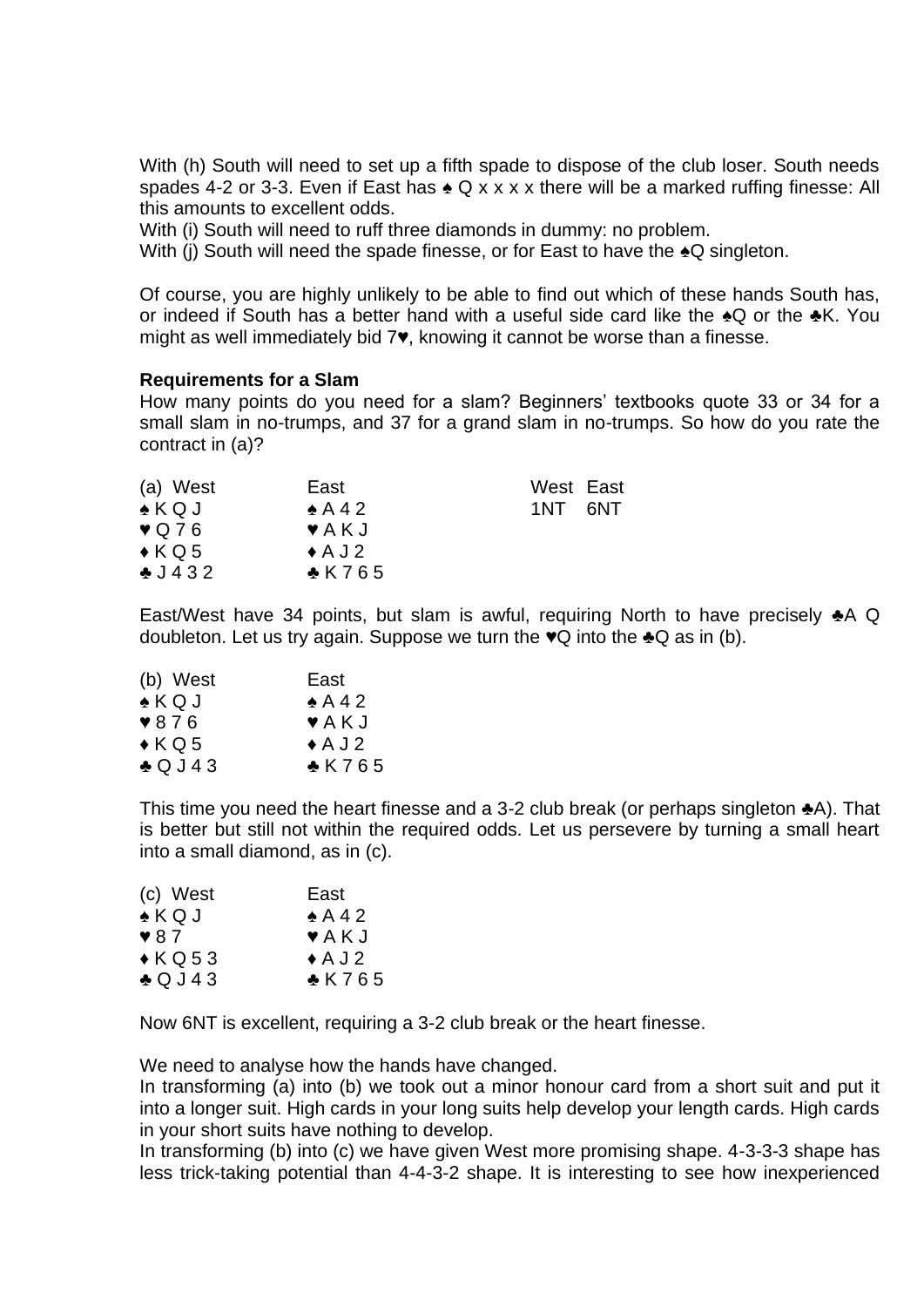With (h) South will need to set up a fifth spade to dispose of the club loser. South needs spades 4-2 or 3-3. Even if East has  $\triangle Q$  x x x x there will be a marked ruffing finesse: All this amounts to excellent odds.

With (i) South will need to ruff three diamonds in dummy: no problem.

With (i) South will need the spade finesse, or for East to have the  $\triangle Q$  singleton.

Of course, you are highly unlikely to be able to find out which of these hands South has, or indeed if South has a better hand with a useful side card like the ♠Q or the ♣K. You might as well immediately bid 7♥, knowing it cannot be worse than a finesse.

#### **Requirements for a Slam**

How many points do you need for a slam? Beginners' textbooks quote 33 or 34 for a small slam in no-trumps, and 37 for a grand slam in no-trumps. So how do you rate the contract in (a)?

| (a) West          | East                       | West East |  |
|-------------------|----------------------------|-----------|--|
| $\triangle$ KQJ   | $\triangle$ A 4 2          | 1NT 6NT   |  |
| $\sqrt{Q76}$      | $\blacktriangledown$ A K J |           |  |
| $\triangle K$ Q 5 | $\triangle$ A J 2          |           |  |
| $-1432$           | $\triangle$ K765           |           |  |

East/West have 34 points, but slam is awful, requiring North to have precisely ♣A Q doubleton. Let us try again. Suppose we turn the  $\bullet Q$  into the  $\bullet Q$  as in (b).

| (b) West                 | East                       |
|--------------------------|----------------------------|
| $\bullet$ KQJ            | $\triangle$ A 4 2          |
| $\blacktriangledown 876$ | $\blacktriangledown$ A K J |
| $\triangle K$ Q 5        | $\triangle$ A J 2          |
| $\triangle Q$ J 43       | $*$ K765                   |

This time you need the heart finesse and a 3-2 club break (or perhaps singleton ♣A). That is better but still not within the required odds. Let us persevere by turning a small heart into a small diamond, as in (c).

| (c) West                | East                       |
|-------------------------|----------------------------|
| $\triangle KQJ$         | $\triangle$ A 42           |
| $\blacktriangledown 87$ | $\blacktriangledown$ A K J |
| $\triangle$ KQ53        | $\triangle$ A J 2          |
| $\triangle Q$ J 43      | $*$ K765                   |
|                         |                            |

Now 6NT is excellent, requiring a 3-2 club break or the heart finesse.

We need to analyse how the hands have changed.

In transforming (a) into (b) we took out a minor honour card from a short suit and put it into a longer suit. High cards in your long suits help develop your length cards. High cards in your short suits have nothing to develop.

In transforming (b) into (c) we have given West more promising shape. 4-3-3-3 shape has less trick-taking potential than 4-4-3-2 shape. It is interesting to see how inexperienced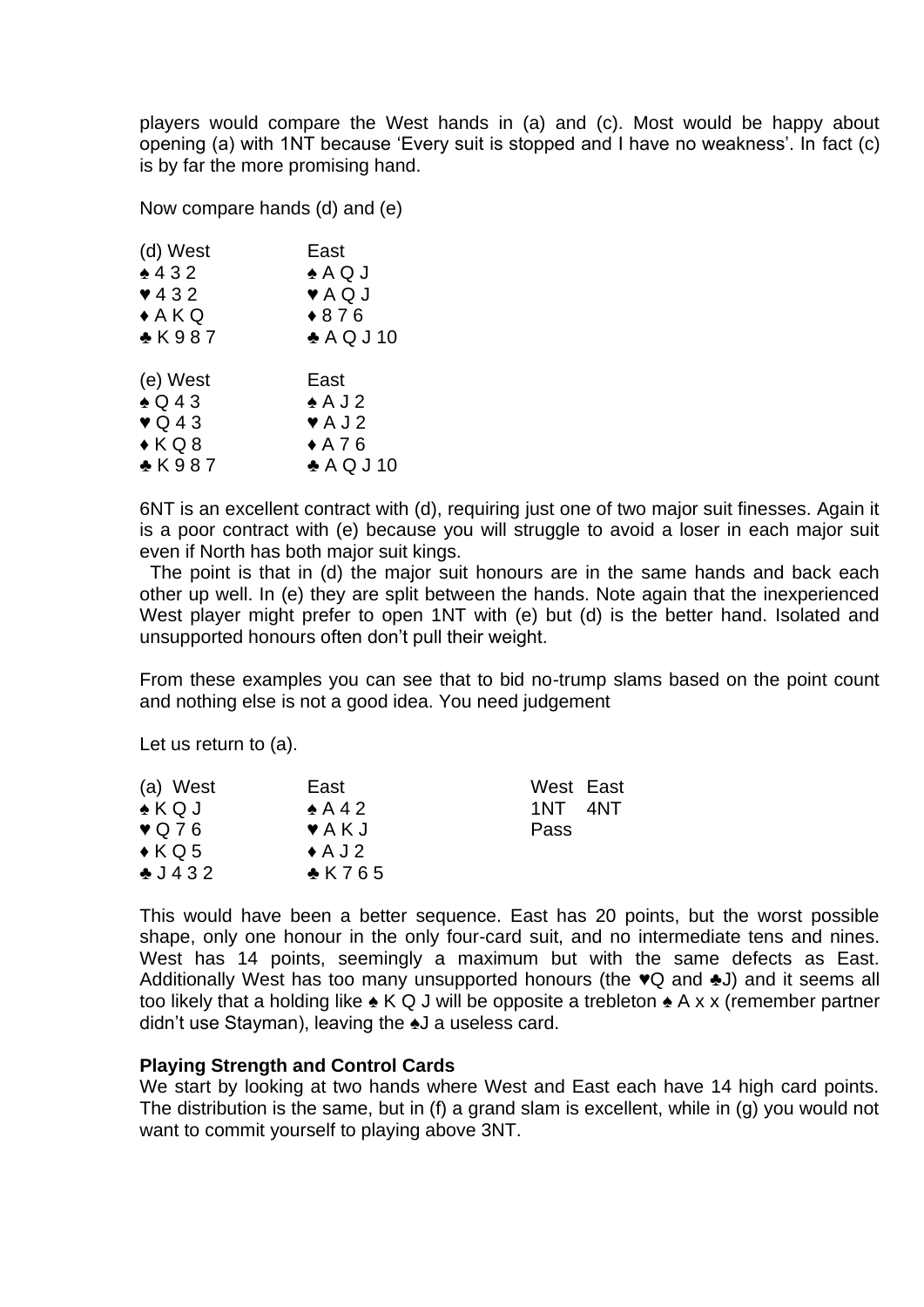players would compare the West hands in (a) and (c). Most would be happy about opening (a) with 1NT because 'Every suit is stopped and I have no weakness'. In fact (c) is by far the more promising hand.

Now compare hands (d) and (e)

| East                       |
|----------------------------|
| $\triangle$ A Q J          |
| $\blacktriangledown$ A Q J |
| $*876$                     |
| $\triangle$ AQJ10          |
|                            |
|                            |
| East                       |
| $\triangle$ A J 2          |
| $\blacktriangledown$ A J 2 |
| $*$ A76                    |
|                            |

6NT is an excellent contract with (d), requiring just one of two major suit finesses. Again it is a poor contract with (e) because you will struggle to avoid a loser in each major suit even if North has both major suit kings.

 The point is that in (d) the major suit honours are in the same hands and back each other up well. In (e) they are split between the hands. Note again that the inexperienced West player might prefer to open 1NT with (e) but (d) is the better hand. Isolated and unsupported honours often don't pull their weight.

From these examples you can see that to bid no-trump slams based on the point count and nothing else is not a good idea. You need judgement

Let us return to (a).

| (a) West              | East                       | West East    |
|-----------------------|----------------------------|--------------|
| $\triangle$ KQJ       | $\triangle$ A 4 2          | 4NT<br>1NT - |
| $\triangledown$ Q 7 6 | $\blacktriangledown$ A K J | Pass         |
| $\triangle KQ5$       | $\triangle$ A J 2          |              |
| $\triangle$ J 432     | $\triangle$ K765           |              |

This would have been a better sequence. East has 20 points, but the worst possible shape, only one honour in the only four-card suit, and no intermediate tens and nines. West has 14 points, seemingly a maximum but with the same defects as East. Additionally West has too many unsupported honours (the ♥Q and ♣J) and it seems all too likely that a holding like  $\triangle K$  Q J will be opposite a trebleton  $\triangle A$  x x (remember partner didn't use Stayman), leaving the ♠J a useless card.

## **Playing Strength and Control Cards**

We start by looking at two hands where West and East each have 14 high card points. The distribution is the same, but in (f) a grand slam is excellent, while in (g) you would not want to commit yourself to playing above 3NT.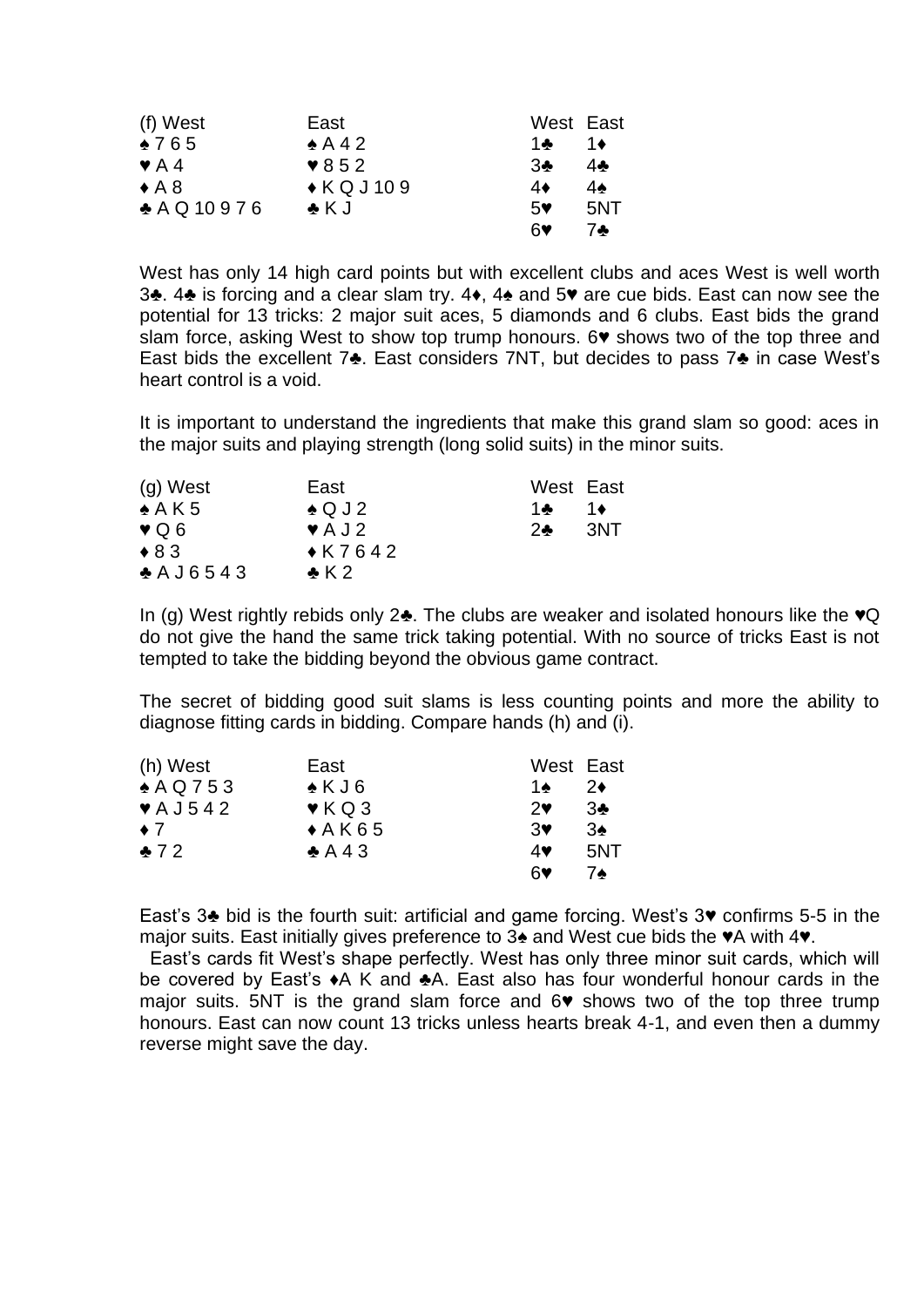| (f) West                 | East                     | West East |     |
|--------------------------|--------------------------|-----------|-----|
| $*765$                   | $\triangle$ A 4 2        | 1品        | 1♦  |
| $\blacktriangledown$ A 4 | $\blacktriangledown 852$ | 3♣        | 40  |
| $\triangle$ A 8          | $\triangle K$ QJ109      | 4♦        | 4▲  |
| $A$ Q 10976              | $\clubsuit$ K J          | 5         | 5NT |
|                          |                          | ଳୁ        | 74  |

West has only 14 high card points but with excellent clubs and aces West is well worth 3♣. 4♣ is forcing and a clear slam try. 4♦, 4♠ and 5♥ are cue bids. East can now see the potential for 13 tricks: 2 major suit aces, 5 diamonds and 6 clubs. East bids the grand slam force, asking West to show top trump honours. 6♥ shows two of the top three and East bids the excellent 7♣. East considers 7NT, but decides to pass 7♣ in case West's heart control is a void.

It is important to understand the ingredients that make this grand slam so good: aces in the major suits and playing strength (long solid suits) in the minor suits.

| $(g)$ West        | East                       | West East            |
|-------------------|----------------------------|----------------------|
| $\triangle$ A K 5 | $\triangle Q$ J 2          | 1♦<br>1 $\clubsuit$  |
| $\vee$ Q 6        | $\blacktriangledown$ A J 2 | 3NT<br>$2$ $\bullet$ |
| $\triangle$ 83    | $\triangle$ K7642          |                      |
| A J6543           | $\bullet$ K 2              |                      |

In (g) West rightly rebids only 2♣. The clubs are weaker and isolated honours like the ♥Q do not give the hand the same trick taking potential. With no source of tricks East is not tempted to take the bidding beyond the obvious game contract.

The secret of bidding good suit slams is less counting points and more the ability to diagnose fitting cards in bidding. Compare hands (h) and (i).

| (h) West                     | East                     | West East  |               |
|------------------------------|--------------------------|------------|---------------|
| $*$ AQ753                    | $\triangle$ KJ6          | 1∌         | $2\bullet$    |
| $\blacktriangledown$ A J 542 | $\blacktriangledown$ KQ3 | $2\bullet$ | 3♣            |
| $\bullet$ 7                  | $*AK65$                  | 3♥         | $3\spadesuit$ |
| $*72$                        | $\triangle$ A43          | 4♥         | 5NT           |
|                              |                          | ଳୁ         | 7▲            |

East's 3♣ bid is the fourth suit: artificial and game forcing. West's 3♥ confirms 5-5 in the major suits. East initially gives preference to 3♠ and West cue bids the ♥A with 4♥.

 East's cards fit West's shape perfectly. West has only three minor suit cards, which will be covered by East's ♦A K and ♣A. East also has four wonderful honour cards in the major suits. 5NT is the grand slam force and 6♥ shows two of the top three trump honours. East can now count 13 tricks unless hearts break 4-1, and even then a dummy reverse might save the day.